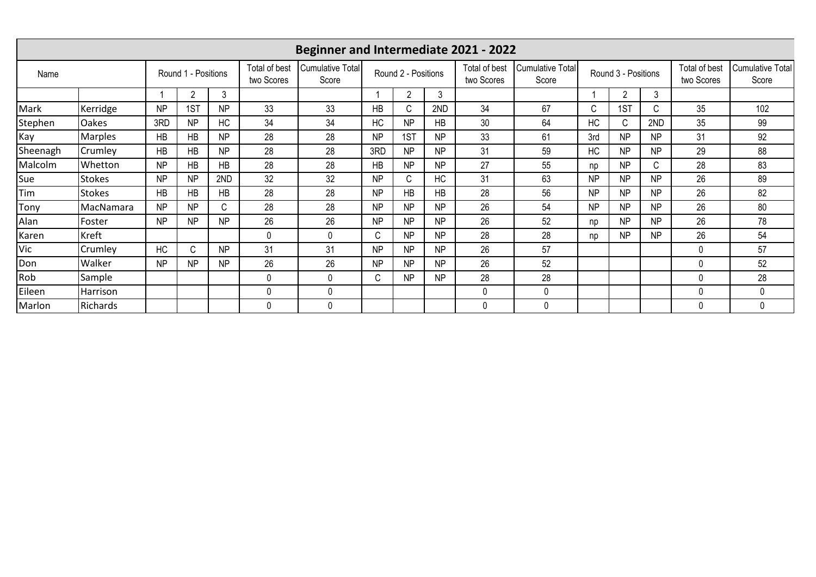| <b>Beginner and Intermediate 2021 - 2022</b> |                |                     |                |                             |                           |                     |           |              |                             |                           |                     |           |                             |                           |             |              |
|----------------------------------------------|----------------|---------------------|----------------|-----------------------------|---------------------------|---------------------|-----------|--------------|-----------------------------|---------------------------|---------------------|-----------|-----------------------------|---------------------------|-------------|--------------|
| Name                                         |                | Round 1 - Positions |                | Total of best<br>two Scores | Cumulative Total<br>Score | Round 2 - Positions |           |              | Total of best<br>two Scores | Cumulative Total<br>Score | Round 3 - Positions |           | Total of best<br>two Scores | Cumulative Total<br>Score |             |              |
|                                              |                |                     | 2              | 3                           |                           |                     |           | $\mathcal P$ | 3                           |                           |                     |           | $\overline{2}$              | 3                         |             |              |
| Mark                                         | Kerridge       | <b>NP</b>           | 1ST            | N <sub>P</sub>              | 33                        | 33                  | HB        | C            | 2ND                         | 34                        | 67                  | C         | 1ST                         | C.                        | 35          | 102          |
| Stephen                                      | Oakes          | 3RD                 | <b>NP</b>      | <b>HC</b>                   | 34                        | 34                  | <b>HC</b> | <b>NP</b>    | HB                          | 30                        | 64                  | HC        | C                           | 2ND                       | 35          | 99           |
| Kay                                          | <b>Marples</b> | HB                  | HB             | <b>NP</b>                   | 28                        | 28                  | <b>NP</b> | 1ST          | NP                          | 33                        | 61                  | 3rd       | <b>NP</b>                   | <b>NP</b>                 | 31          | 92           |
| Sheenagh                                     | Crumley        | <b>HB</b>           | HB             | <b>NP</b>                   | 28                        | 28                  | 3RD       | <b>NP</b>    | <b>NP</b>                   | 31                        | 59                  | HC        | <b>NP</b>                   | <b>NP</b>                 | 29          | 88           |
| Malcolm                                      | Whetton        | <b>NP</b>           | <b>HB</b>      | <b>HB</b>                   | 28                        | 28                  | <b>HB</b> | <b>NP</b>    | NP.                         | 27                        | 55                  | np        | <b>NP</b>                   | C.                        | 28          | 83           |
| Sue                                          | <b>Stokes</b>  | <b>NP</b>           | <b>NP</b>      | 2ND                         | 32                        | 32                  | <b>NP</b> | C            | <b>HC</b>                   | 31                        | 63                  | <b>NP</b> | <b>NP</b>                   | <b>NP</b>                 | 26          | 89           |
| Tim                                          | <b>Stokes</b>  | <b>HB</b>           | HB             | HB                          | 28                        | 28                  | <b>NP</b> | HB           | HB                          | 28                        | 56                  | <b>NP</b> | <b>NP</b>                   | <b>NP</b>                 | 26          | 82           |
| Tony                                         | MacNamara      | N <sub>P</sub>      | NP             | C.                          | 28                        | 28                  | <b>NP</b> | <b>NP</b>    | NP                          | 26                        | 54                  | <b>NP</b> | <b>NP</b>                   | <b>NP</b>                 | 26          | 80           |
| Alan                                         | Foster         | <b>NP</b>           | N <sub>P</sub> | <b>NP</b>                   | 26                        | 26                  | <b>NP</b> | <b>NP</b>    | NP                          | 26                        | 52                  | np        | <b>NP</b>                   | <b>NP</b>                 | 26          | 78           |
| Karen                                        | Kreft          |                     |                |                             | $\mathbf{0}$              | $\mathbf{0}$        | C         | <b>NP</b>    | <b>NP</b>                   | 28                        | 28                  | np        | <b>NP</b>                   | <b>NP</b>                 | 26          | 54           |
| Vic                                          | Crumley        | HC                  | C              | <b>NP</b>                   | 31                        | 31                  | <b>NP</b> | <b>NP</b>    | NP                          | 26                        | 57                  |           |                             |                           | 0           | 57           |
| Don                                          | Walker         | <b>NP</b>           | <b>NP</b>      | <b>NP</b>                   | 26                        | 26                  | <b>NP</b> | <b>NP</b>    | <b>NP</b>                   | 26                        | 52                  |           |                             |                           | $\mathbf 0$ | 52           |
| Rob                                          | Sample         |                     |                |                             | $\mathbf{0}$              | $\mathbf{0}$        | C         | <b>NP</b>    | <b>NP</b>                   | 28                        | 28                  |           |                             |                           | $\mathbf 0$ | 28           |
| Eileen                                       | Harrison       |                     |                |                             | $\mathbf 0$               | 0                   |           |              |                             | 0                         | $\mathbf{0}$        |           |                             |                           | $\mathbf 0$ | $\mathbf{0}$ |
| Marlon                                       | Richards       |                     |                |                             | $\Omega$                  | 0                   |           |              |                             | $\Omega$                  | 0                   |           |                             |                           | 0           | $\mathbf{0}$ |